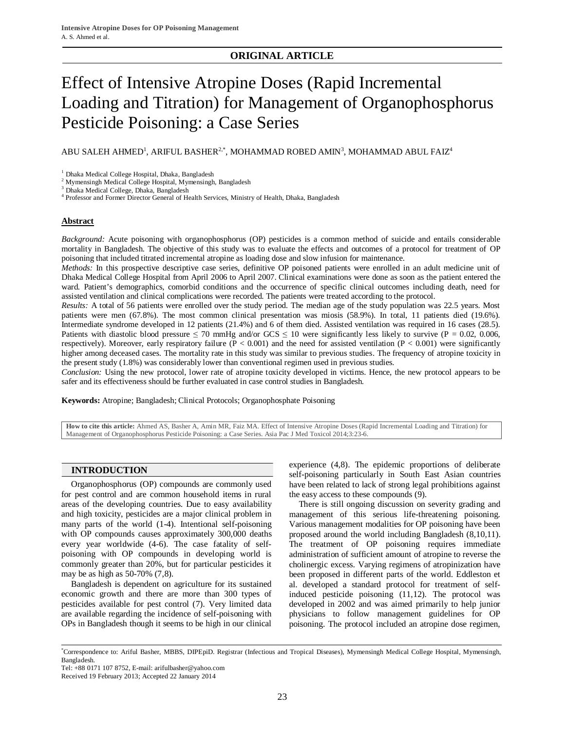# **ORIGINAL ARTICLE**

# Effect of Intensive Atropine Doses (Rapid Incremental Loading and Titration) for Management of Organophosphorus Pesticide Poisoning: a Case Series

ABU SALEH AHMED $^1$ , ARIFUL BASHER $^{2,\ast}$ , MOHAMMAD ROBED AMIN $^3$ , MOHAMMAD ABUL FAIZ $^4$ 

<sup>1</sup> Dhaka Medical College Hospital, Dhaka, Bangladesh

<sup>2</sup> Mymensingh Medical College Hospital, Mymensingh, Bangladesh

3 Dhaka Medical College, Dhaka, Bangladesh

4 Professor and Former Director General of Health Services, Ministry of Health, Dhaka, Bangladesh

#### **Abstract**

*Background:* Acute poisoning with organophosphorus (OP) pesticides is a common method of suicide and entails considerable mortality in Bangladesh. The objective of this study was to evaluate the effects and outcomes of a protocol for treatment of OP poisoning that included titrated incremental atropine as loading dose and slow infusion for maintenance.

*Methods:* In this prospective descriptive case series, definitive OP poisoned patients were enrolled in an adult medicine unit of Dhaka Medical College Hospital from April 2006 to April 2007. Clinical examinations were done as soon as the patient entered the ward. Patient's demographics, comorbid conditions and the occurrence of specific clinical outcomes including death, need for assisted ventilation and clinical complications were recorded. The patients were treated according to the protocol.

*Results:* A total of 56 patients were enrolled over the study period. The median age of the study population was 22.5 years. Most patients were men (67.8%). The most common clinical presentation was miosis (58.9%). In total, 11 patients died (19.6%). Intermediate syndrome developed in 12 patients (21.4%) and 6 of them died. Assisted ventilation was required in 16 cases (28.5). Patients with diastolic blood pressure  $\leq 70$  mmHg and/or GCS  $\leq 10$  were significantly less likely to survive (P = 0.02, 0.006, respectively). Moreover, early respiratory failure ( $P < 0.001$ ) and the need for assisted ventilation ( $P < 0.001$ ) were significantly higher among deceased cases. The mortality rate in this study was similar to previous studies. The frequency of atropine toxicity in the present study (1.8%) was considerably lower than conventional regimen used in previous studies.

*Conclusion:* Using the new protocol, lower rate of atropine toxicity developed in victims. Hence, the new protocol appears to be safer and its effectiveness should be further evaluated in case control studies in Bangladesh.

**Keywords:** Atropine; Bangladesh; Clinical Protocols; Organophosphate Poisoning

**How to cite this article:** Ahmed AS, Basher A, Amin MR, Faiz MA. Effect of Intensive Atropine Doses (Rapid Incremental Loading and Titration) for Management of Organophosphorus Pesticide Poisoning: a Case Series. Asia Pac J Med Toxicol 2014;3:23-6.

# **INTRODUCTION**

Organophosphorus (OP) compounds are commonly used for pest control and are common household items in rural areas of the developing countries. Due to easy availability and high toxicity, pesticides are a major clinical problem in many parts of the world (1-4). Intentional self-poisoning with OP compounds causes approximately 300,000 deaths every year worldwide (4-6). The case fatality of selfpoisoning with OP compounds in developing world is commonly greater than 20%, but for particular pesticides it may be as high as 50-70% (7,8).

Bangladesh is dependent on agriculture for its sustained economic growth and there are more than 300 types of pesticides available for pest control (7). Very limited data are available regarding the incidence of self-poisoning with OPs in Bangladesh though it seems to be high in our clinical

experience (4,8). The epidemic proportions of deliberate self-poisoning particularly in South East Asian countries have been related to lack of strong legal prohibitions against the easy access to these compounds (9).

There is still ongoing discussion on severity grading and management of this serious life-threatening poisoning. Various management modalities for OP poisoning have been proposed around the world including Bangladesh (8,10,11). The treatment of OP poisoning requires immediate administration of sufficient amount of atropine to reverse the cholinergic excess. Varying regimens of atropinization have been proposed in different parts of the world. Eddleston et al. developed a standard protocol for treatment of selfinduced pesticide poisoning (11,12). The protocol was developed in 2002 and was aimed primarily to help junior physicians to follow management guidelines for OP poisoning. The protocol included an atropine dose regimen,

<sup>\*</sup>Correspondence to: Ariful Basher, MBBS, DIPEpiD. Registrar (Infectious and Tropical Diseases), Mymensingh Medical College Hospital, Mymensingh, Bangladesh.

Tel: +88 0171 107 8752, E-mail: arifulbasher@yahoo.com

Received 19 February 2013; Accepted 22 January 2014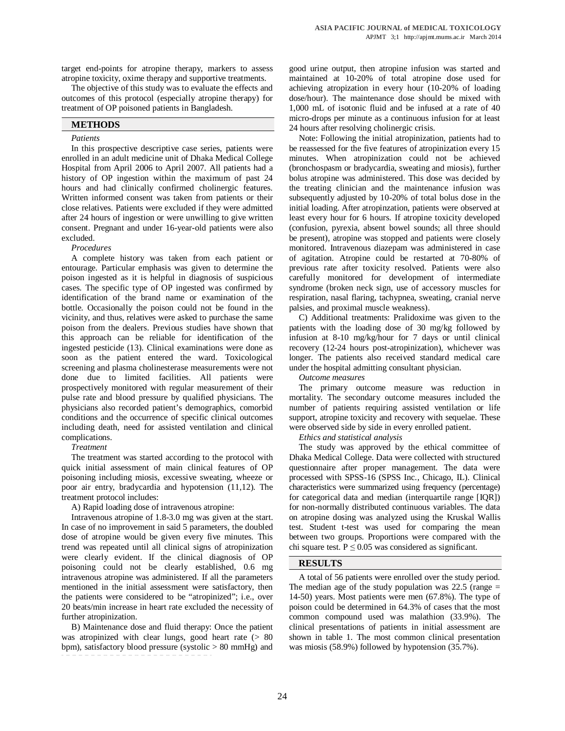target end-points for atropine therapy, markers to assess atropine toxicity, oxime therapy and supportive treatments.

The objective of this study was to evaluate the effects and outcomes of this protocol (especially atropine therapy) for treatment of OP poisoned patients in Bangladesh.

# **METHODS**

#### *Patients*

In this prospective descriptive case series, patients were enrolled in an adult medicine unit of Dhaka Medical College Hospital from April 2006 to April 2007. All patients had a history of OP ingestion within the maximum of past 24 hours and had clinically confirmed cholinergic features. Written informed consent was taken from patients or their close relatives. Patients were excluded if they were admitted after 24 hours of ingestion or were unwilling to give written consent. Pregnant and under 16-year-old patients were also excluded.

#### *Procedures*

A complete history was taken from each patient or entourage. Particular emphasis was given to determine the poison ingested as it is helpful in diagnosis of suspicious cases. The specific type of OP ingested was confirmed by identification of the brand name or examination of the bottle. Occasionally the poison could not be found in the vicinity, and thus, relatives were asked to purchase the same poison from the dealers. Previous studies have shown that this approach can be reliable for identification of the ingested pesticide (13). Clinical examinations were done as soon as the patient entered the ward. Toxicological screening and plasma cholinesterase measurements were not done due to limited facilities. All patients were prospectively monitored with regular measurement of their pulse rate and blood pressure by qualified physicians. The physicians also recorded patient's demographics, comorbid conditions and the occurrence of specific clinical outcomes including death, need for assisted ventilation and clinical complications.

# *Treatment*

The treatment was started according to the protocol with quick initial assessment of main clinical features of OP poisoning including miosis, excessive sweating, wheeze or poor air entry, bradycardia and hypotension (11,12). The treatment protocol includes:

A) Rapid loading dose of intravenous atropine:

Intravenous atropine of 1.8-3.0 mg was given at the start. In case of no improvement in said 5 parameters, the doubled dose of atropine would be given every five minutes. This trend was repeated until all clinical signs of atropinization were clearly evident. If the clinical diagnosis of OP poisoning could not be clearly established, 0.6 mg intravenous atropine was administered. If all the parameters mentioned in the initial assessment were satisfactory, then the patients were considered to be "atropinized"; i.e., over 20 beats/min increase in heart rate excluded the necessity of further atropinization.

B) Maintenance dose and fluid therapy: Once the patient was atropinized with clear lungs, good heart rate (> 80 bpm), satisfactory blood pressure (systolic  $> 80$  mmHg) and

good urine output, then atropine infusion was started and maintained at 10-20% of total atropine dose used for achieving atropization in every hour (10-20% of loading dose/hour). The maintenance dose should be mixed with 1,000 mL of isotonic fluid and be infused at a rate of 40 micro-drops per minute as a continuous infusion for at least 24 hours after resolving cholinergic crisis.

Note: Following the initial atropinization, patients had to be reassessed for the five features of atropinization every 15 minutes. When atropinization could not be achieved (bronchospasm or bradycardia, sweating and miosis), further bolus atropine was administered. This dose was decided by the treating clinician and the maintenance infusion was subsequently adjusted by 10-20% of total bolus dose in the initial loading. After atropinzation, patients were observed at least every hour for 6 hours. If atropine toxicity developed (confusion, pyrexia, absent bowel sounds; all three should be present), atropine was stopped and patients were closely monitored. Intravenous diazepam was administered in case of agitation. Atropine could be restarted at 70-80% of previous rate after toxicity resolved. Patients were also carefully monitored for development of intermediate syndrome (broken neck sign, use of accessory muscles for respiration, nasal flaring, tachypnea, sweating, cranial nerve palsies, and proximal muscle weakness).

C) Additional treatments: Pralidoxime was given to the patients with the loading dose of 30 mg/kg followed by infusion at 8-10 mg/kg/hour for 7 days or until clinical recovery (12-24 hours post-atropinization), whichever was longer. The patients also received standard medical care under the hospital admitting consultant physician.

*Outcome measures*

The primary outcome measure was reduction in mortality. The secondary outcome measures included the number of patients requiring assisted ventilation or life support, atropine toxicity and recovery with sequelae. These were observed side by side in every enrolled patient.

*Ethics and statistical analysis*

The study was approved by the ethical committee of Dhaka Medical College. Data were collected with structured questionnaire after proper management. The data were processed with SPSS-16 (SPSS Inc., Chicago, IL). Clinical characteristics were summarized using frequency (percentage) for categorical data and median (interquartile range [IQR]) for non-normally distributed continuous variables. The data on atropine dosing was analyzed using the Kruskal Wallis test. Student t-test was used for comparing the mean between two groups. Proportions were compared with the chi square test.  $P \le 0.05$  was considered as significant.

# **RESULTS**

A total of 56 patients were enrolled over the study period. The median age of the study population was  $22.5$  (range  $=$ 14-50) years. Most patients were men (67.8%). The type of poison could be determined in 64.3% of cases that the most common compound used was malathion (33.9%). The clinical presentations of patients in initial assessment are shown in table 1. The most common clinical presentation was miosis (58.9%) followed by hypotension (35.7%).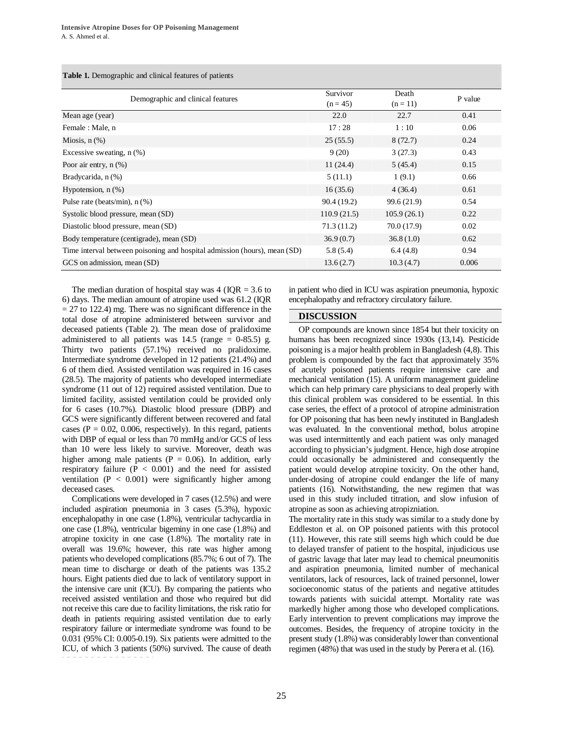| <b>Table 1.</b> Demographic and clinical features of patients |  |
|---------------------------------------------------------------|--|
|                                                               |  |

| Demographic and clinical features                                         | Survivor    | Death       | P value |
|---------------------------------------------------------------------------|-------------|-------------|---------|
|                                                                           | $(n = 45)$  | $(n = 11)$  |         |
| Mean age (year)                                                           | 22.0        | 22.7        | 0.41    |
| Female : Male, n                                                          | 17:28       | 1:10        | 0.06    |
| Miosis, $n$ $(\%)$                                                        | 25(55.5)    | 8(72.7)     | 0.24    |
| Excessive sweating, $n$ $(\%)$                                            | 9(20)       | 3(27.3)     | 0.43    |
| Poor air entry, $n$ $(\%)$                                                | 11(24.4)    | 5(45.4)     | 0.15    |
| Bradycarida, n (%)                                                        | 5(11.1)     | 1(9.1)      | 0.66    |
| Hypotension, $n$ $(\%)$                                                   | 16(35.6)    | 4(36.4)     | 0.61    |
| Pulse rate (beats/min), $n$ (%)                                           | 90.4 (19.2) | 99.6 (21.9) | 0.54    |
| Systolic blood pressure, mean (SD)                                        | 110.9(21.5) | 105.9(26.1) | 0.22    |
| Diastolic blood pressure, mean (SD)                                       | 71.3(11.2)  | 70.0 (17.9) | 0.02    |
| Body temperature (centigrade), mean (SD)                                  | 36.9(0.7)   | 36.8(1.0)   | 0.62    |
| Time interval between poisoning and hospital admission (hours), mean (SD) | 5.8(5.4)    | 6.4(4.8)    | 0.94    |
| GCS on admission, mean (SD)                                               | 13.6(2.7)   | 10.3(4.7)   | 0.006   |

The median duration of hospital stay was  $4 (IQR = 3.6$  to 6) days. The median amount of atropine used was 61.2 (IQR  $= 27$  to 122.4) mg. There was no significant difference in the total dose of atropine administered between survivor and deceased patients (Table 2). The mean dose of pralidoxime administered to all patients was  $14.5$  (range = 0-85.5) g. Thirty two patients (57.1%) received no pralidoxime. Intermediate syndrome developed in 12 patients (21.4%) and 6 of them died. Assisted ventilation was required in 16 cases (28.5). The majority of patients who developed intermediate syndrome (11 out of 12) required assisted ventilation. Due to limited facility, assisted ventilation could be provided only for 6 cases (10.7%). Diastolic blood pressure (DBP) and GCS were significantly different between recovered and fatal cases ( $P = 0.02$ , 0.006, respectively). In this regard, patients with DBP of equal or less than 70 mmHg and/or GCS of less than 10 were less likely to survive. Moreover, death was higher among male patients ( $P = 0.06$ ). In addition, early respiratory failure  $(P < 0.001)$  and the need for assisted ventilation ( $P < 0.001$ ) were significantly higher among deceased cases.

Complications were developed in 7 cases (12.5%) and were included aspiration pneumonia in 3 cases (5.3%), hypoxic encephalopathy in one case (1.8%), ventricular tachycardia in one case (1.8%), ventricular bigeminy in one case (1.8%) and atropine toxicity in one case (1.8%). The mortality rate in overall was 19.6%; however, this rate was higher among patients who developed complications (85.7%; 6 out of 7). The mean time to discharge or death of the patients was 135.2 hours. Eight patients died due to lack of ventilatory support in the intensive care unit (ICU). By comparing the patients who received assisted ventilation and those who required but did not receive this care due to facility limitations, the risk ratio for death in patients requiring assisted ventilation due to early respiratory failure or intermediate syndrome was found to be 0.031 (95% CI: 0.005-0.19). Six patients were admitted to the ICU, of which 3 patients (50%) survived. The cause of death

in patient who died in ICU was aspiration pneumonia, hypoxic encephalopathy and refractory circulatory failure.

# **DISCUSSION**

OP compounds are known since 1854 but their toxicity on humans has been recognized since 1930s (13,14). Pesticide poisoning is a major health problem in Bangladesh (4,8). This problem is compounded by the fact that approximately 35% of acutely poisoned patients require intensive care and mechanical ventilation (15). A uniform management guideline which can help primary care physicians to deal properly with this clinical problem was considered to be essential. In this case series, the effect of a protocol of atropine administration for OP poisoning that has been newly instituted in Bangladesh was evaluated. In the conventional method, bolus atropine was used intermittently and each patient was only managed according to physician's judgment. Hence, high dose atropine could occasionally be administered and consequently the patient would develop atropine toxicity. On the other hand, under-dosing of atropine could endanger the life of many patients (16). Notwithstanding, the new regimen that was used in this study included titration, and slow infusion of atropine as soon as achieving atropizniation.

The mortality rate in this study was similar to a study done by Eddleston et al. on OP poisoned patients with this protocol (11). However, this rate still seems high which could be due to delayed transfer of patient to the hospital, injudicious use of gastric lavage that later may lead to chemical pneumonitis and aspiration pneumonia, limited number of mechanical ventilators, lack of resources, lack of trained personnel, lower socioeconomic status of the patients and negative attitudes towards patients with suicidal attempt. Mortality rate was markedly higher among those who developed complications. Early intervention to prevent complications may improve the outcomes. Besides, the frequency of atropine toxicity in the present study (1.8%) was considerably lower than conventional regimen (48%) that was used in the study by Perera et al. (16).